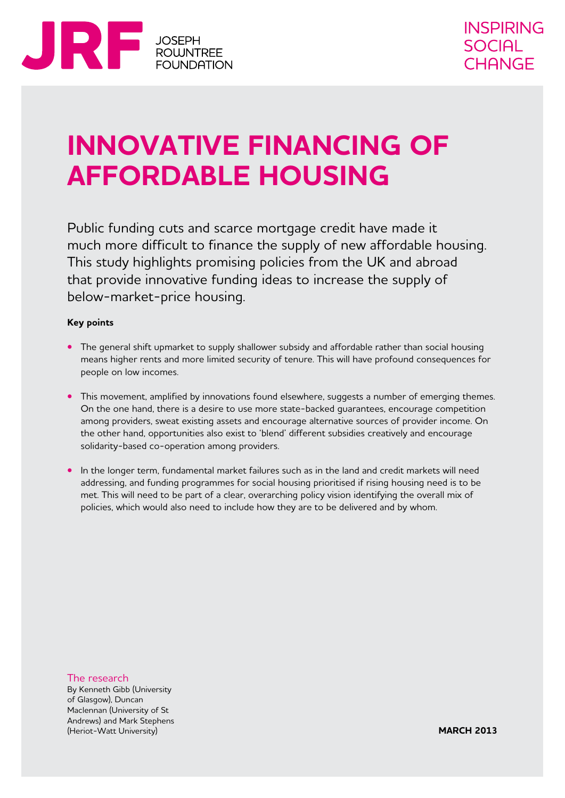

## **Innovative financing of affordable housing**

Public funding cuts and scarce mortgage credit have made it much more difficult to finance the supply of new affordable housing. This study highlights promising policies from the UK and abroad that provide innovative funding ideas to increase the supply of below-market-price housing.

#### **Key points**

- **•** The general shift upmarket to supply shallower subsidy and affordable rather than social housing means higher rents and more limited security of tenure. This will have profound consequences for people on low incomes.
- **•** This movement, amplified by innovations found elsewhere, suggests a number of emerging themes. On the one hand, there is a desire to use more state-backed guarantees, encourage competition among providers, sweat existing assets and encourage alternative sources of provider income. On the other hand, opportunities also exist to 'blend' different subsidies creatively and encourage solidarity-based co-operation among providers.
- **•** In the longer term, fundamental market failures such as in the land and credit markets will need addressing, and funding programmes for social housing prioritised if rising housing need is to be met. This will need to be part of a clear, overarching policy vision identifying the overall mix of policies, which would also need to include how they are to be delivered and by whom.

The research By Kenneth Gibb (University of Glasgow), Duncan Maclennan (University of St Andrews) and Mark Stephens (Heriot-Watt University)

**MARCH 2013**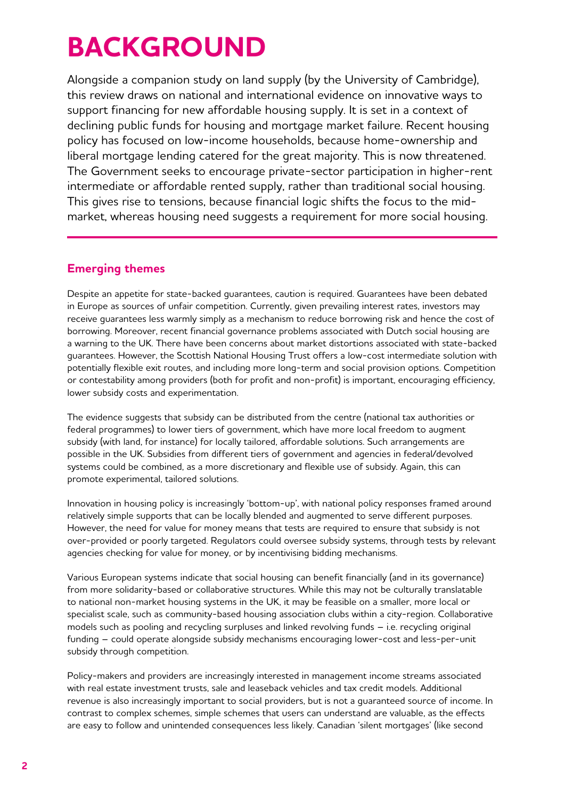# **BACKGROUND**

Alongside a companion study on land supply (by the University of Cambridge), this review draws on national and international evidence on innovative ways to support financing for new affordable housing supply. It is set in a context of declining public funds for housing and mortgage market failure. Recent housing policy has focused on low-income households, because home-ownership and liberal mortgage lending catered for the great majority. This is now threatened. The Government seeks to encourage private-sector participation in higher-rent intermediate or affordable rented supply, rather than traditional social housing. This gives rise to tensions, because financial logic shifts the focus to the midmarket, whereas housing need suggests a requirement for more social housing.

## **Emerging themes**

Despite an appetite for state-backed guarantees, caution is required. Guarantees have been debated in Europe as sources of unfair competition. Currently, given prevailing interest rates, investors may receive guarantees less warmly simply as a mechanism to reduce borrowing risk and hence the cost of borrowing. Moreover, recent financial governance problems associated with Dutch social housing are a warning to the UK. There have been concerns about market distortions associated with state-backed guarantees. However, the Scottish National Housing Trust offers a low-cost intermediate solution with potentially flexible exit routes, and including more long-term and social provision options. Competition or contestability among providers (both for profit and non-profit) is important, encouraging efficiency, lower subsidy costs and experimentation.

The evidence suggests that subsidy can be distributed from the centre (national tax authorities or federal programmes) to lower tiers of government, which have more local freedom to augment subsidy (with land, for instance) for locally tailored, affordable solutions. Such arrangements are possible in the UK. Subsidies from different tiers of government and agencies in federal/devolved systems could be combined, as a more discretionary and flexible use of subsidy. Again, this can promote experimental, tailored solutions.

Innovation in housing policy is increasingly 'bottom-up', with national policy responses framed around relatively simple supports that can be locally blended and augmented to serve different purposes. However, the need for value for money means that tests are required to ensure that subsidy is not over-provided or poorly targeted. Regulators could oversee subsidy systems, through tests by relevant agencies checking for value for money, or by incentivising bidding mechanisms.

Various European systems indicate that social housing can benefit financially (and in its governance) from more solidarity-based or collaborative structures. While this may not be culturally translatable to national non-market housing systems in the UK, it may be feasible on a smaller, more local or specialist scale, such as community-based housing association clubs within a city-region. Collaborative models such as pooling and recycling surpluses and linked revolving funds – i.e. recycling original funding – could operate alongside subsidy mechanisms encouraging lower-cost and less-per-unit subsidy through competition.

Policy-makers and providers are increasingly interested in management income streams associated with real estate investment trusts, sale and leaseback vehicles and tax credit models. Additional revenue is also increasingly important to social providers, but is not a guaranteed source of income. In contrast to complex schemes, simple schemes that users can understand are valuable, as the effects are easy to follow and unintended consequences less likely. Canadian 'silent mortgages' (like second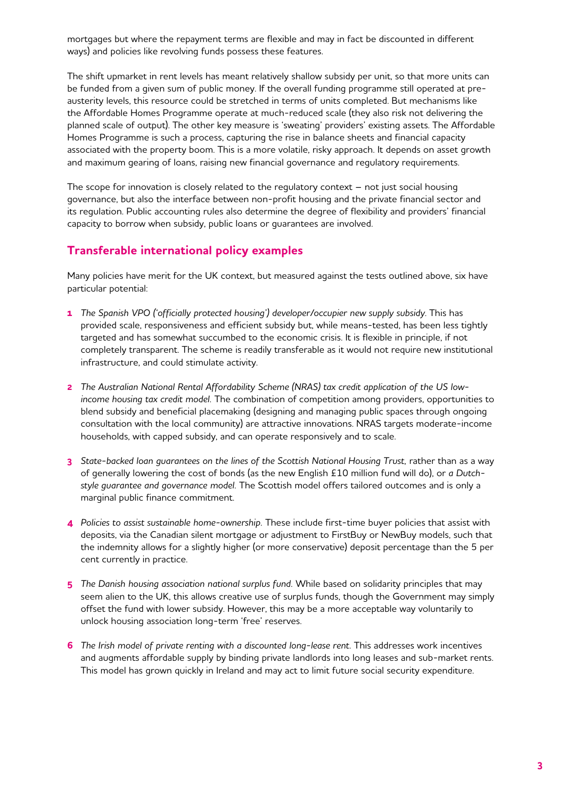mortgages but where the repayment terms are flexible and may in fact be discounted in different ways) and policies like revolving funds possess these features.

The shift upmarket in rent levels has meant relatively shallow subsidy per unit, so that more units can be funded from a given sum of public money. If the overall funding programme still operated at preausterity levels, this resource could be stretched in terms of units completed. But mechanisms like the Affordable Homes Programme operate at much-reduced scale (they also risk not delivering the planned scale of output). The other key measure is 'sweating' providers' existing assets. The Affordable Homes Programme is such a process, capturing the rise in balance sheets and financial capacity associated with the property boom. This is a more volatile, risky approach. It depends on asset growth and maximum gearing of loans, raising new financial governance and regulatory requirements.

The scope for innovation is closely related to the regulatory context – not just social housing governance, but also the interface between non-profit housing and the private financial sector and its regulation. Public accounting rules also determine the degree of flexibility and providers' financial capacity to borrow when subsidy, public loans or guarantees are involved.

#### **Transferable international policy examples**

Many policies have merit for the UK context, but measured against the tests outlined above, six have particular potential:

- **1** *The Spanish VPO ('officially protected housing') developer/occupier new supply subsidy*. This has provided scale, responsiveness and efficient subsidy but, while means-tested, has been less tightly targeted and has somewhat succumbed to the economic crisis. It is flexible in principle, if not completely transparent. The scheme is readily transferable as it would not require new institutional infrastructure, and could stimulate activity.
- **2** *The Australian National Rental Affordability Scheme (NRAS) tax credit application of the US lowincome housing tax credit model.* The combination of competition among providers, opportunities to blend subsidy and beneficial placemaking (designing and managing public spaces through ongoing consultation with the local community) are attractive innovations. NRAS targets moderate-income households, with capped subsidy, and can operate responsively and to scale.
- **3** *State-backed loan guarantees on the lines of the Scottish National Housing Trust,* rather than as a way of generally lowering the cost of bonds (as the new English £10 million fund will do), or *a Dutchstyle guarantee and governance model.* The Scottish model offers tailored outcomes and is only a marginal public finance commitment.
- **4** *Policies to assist sustainable home-ownership.* These include first-time buyer policies that assist with deposits, via the Canadian silent mortgage or adjustment to FirstBuy or NewBuy models, such that the indemnity allows for a slightly higher (or more conservative) deposit percentage than the 5 per cent currently in practice.
- **5** *The Danish housing association national surplus fund.* While based on solidarity principles that may seem alien to the UK, this allows creative use of surplus funds, though the Government may simply offset the fund with lower subsidy. However, this may be a more acceptable way voluntarily to unlock housing association long-term 'free' reserves.
- **6** *The Irish model of private renting with a discounted long-lease rent.* This addresses work incentives and augments affordable supply by binding private landlords into long leases and sub-market rents. This model has grown quickly in Ireland and may act to limit future social security expenditure.